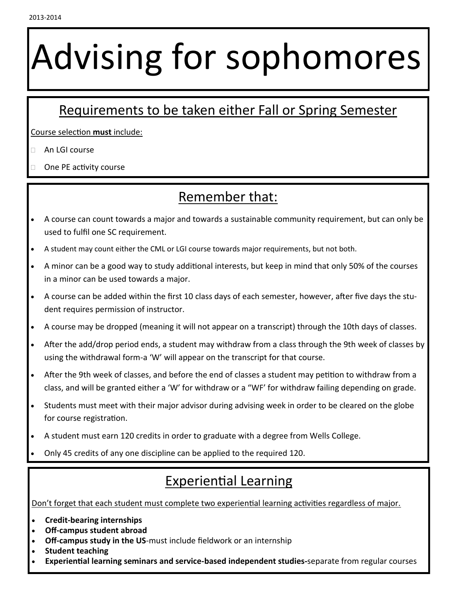# Advising for sophomores

#### Requirements to be taken either Fall or Spring Semester

Course selection **must** include:

- An LGI course
- One PE activity course

#### Remember that:

- A course can count towards a major and towards a sustainable community requirement, but can only be used to fulfil one SC requirement.
- A student may count either the CML or LGI course towards major requirements, but not both.
- A minor can be a good way to study additional interests, but keep in mind that only 50% of the courses in a minor can be used towards a major.
- A course can be added within the first 10 class days of each semester, however, after five days the student requires permission of instructor.
- A course may be dropped (meaning it will not appear on a transcript) through the 10th days of classes.
- After the add/drop period ends, a student may withdraw from a class through the 9th week of classes by using the withdrawal form-a 'W' will appear on the transcript for that course.
- After the 9th week of classes, and before the end of classes a student may petition to withdraw from a class, and will be granted either a 'W' for withdraw or a "WF' for withdraw failing depending on grade.
- Students must meet with their major advisor during advising week in order to be cleared on the globe for course registration.
- A student must earn 120 credits in order to graduate with a degree from Wells College.
- Only 45 credits of any one discipline can be applied to the required 120.

#### Experiential Learning

Don't forget that each student must complete two experiential learning activities regardless of major.

- **Credit-bearing internships**
- **Off-campus student abroad**
- **Off-campus study in the US**-must include fieldwork or an internship
- **Student teaching**
- **Experiential learning seminars and service-based independent studies-**separate from regular courses